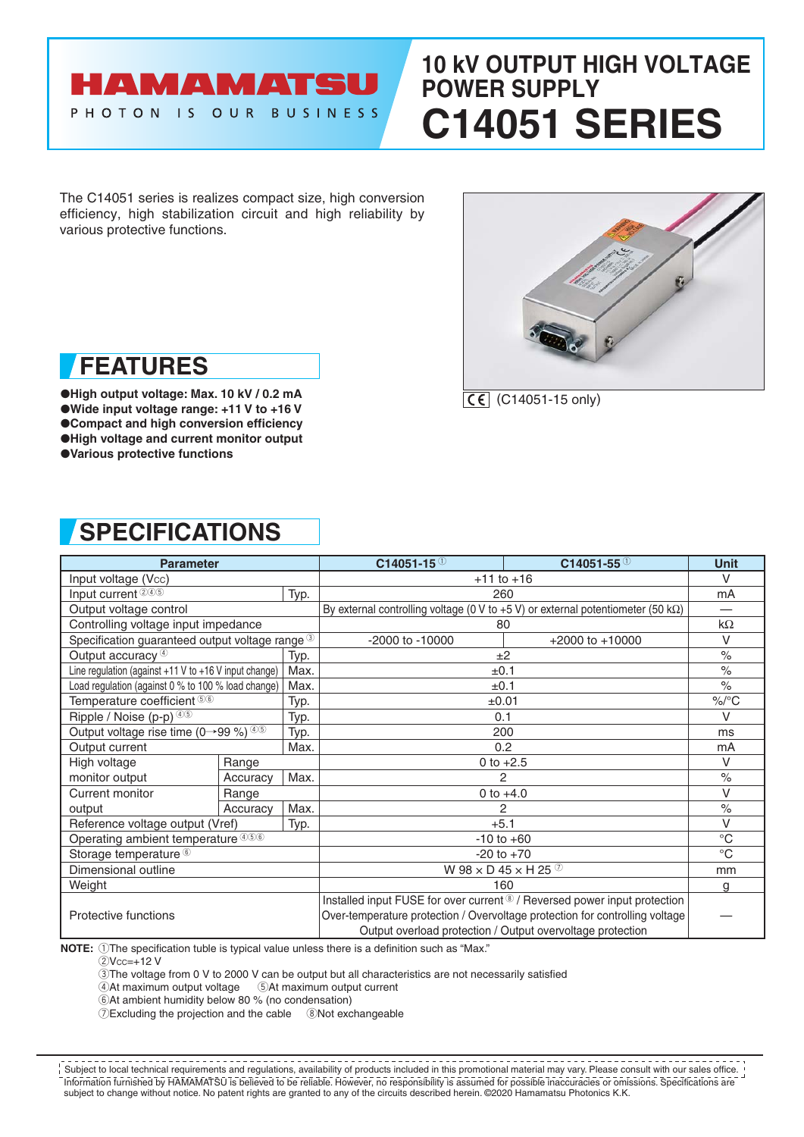# HAMAMATSU PHOTON IS OUR BUSINESS

# **10 kV OUTPUT HIGH VOLTAGE POWER SUPPLY C14051 SERIES**

The C14051 series is realizes compact size, high conversion efficiency, high stabilization circuit and high reliability by various protective functions.



 $\overline{CE}$  (C14051-15 only)

# **FEATURES**

●**High output voltage: Max. 10 kV / 0.2 mA** ●**Wide input voltage range: +11 V to +16 V** ●**Compact and high conversion efficiency** ●**High voltage and current monitor output** ●**Various protective functions**

# **SPECIFICATIONS**

| <b>Parameter</b>                                           |          |      | $C14051 - 15^{0}$                                                                        | $C14051 - 550$      | <b>Unit</b>              |
|------------------------------------------------------------|----------|------|------------------------------------------------------------------------------------------|---------------------|--------------------------|
| Input voltage (Vcc)                                        |          |      | $+11$ to $+16$                                                                           |                     | $\vee$                   |
| Input current 245                                          |          | Typ. | 260                                                                                      |                     | mA                       |
| Output voltage control                                     |          |      | By external controlling voltage (0 V to +5 V) or external potentiometer (50 k $\Omega$ ) |                     | $\overline{\phantom{0}}$ |
| Controlling voltage input impedance                        |          |      | 80                                                                                       |                     | $k\Omega$                |
| Specification guaranteed output voltage range <sup>3</sup> |          |      | $-2000$ to $-10000$                                                                      | $+2000$ to $+10000$ | $\vee$                   |
| Output accuracy <sup>4</sup>                               |          | Typ. | ±2                                                                                       |                     | $\%$                     |
| Line regulation (against $+11$ V to $+16$ V input change)  |          | Max. | ±0.1                                                                                     |                     | $\%$                     |
| Load regulation (against 0 % to 100 % load change)         |          | Max. | ±0.1                                                                                     |                     | $\%$                     |
| Temperature coefficient 56                                 |          | Typ. | $\pm 0.01$                                                                               |                     | $\%$ /°C                 |
| Ripple / Noise (p-p) $45$                                  |          | Typ. | 0.1                                                                                      |                     | $\vee$                   |
| Output voltage rise time (0→99 %) 45                       |          | Typ. | 200                                                                                      |                     | ms                       |
| Output current                                             |          | Max. | 0.2                                                                                      |                     | mA                       |
| High voltage                                               | Range    |      | 0 to $+2.5$                                                                              |                     | $\vee$                   |
| monitor output                                             | Accuracy | Max. | 2                                                                                        |                     | $\%$                     |
| Current monitor                                            | Range    |      | 0 to $+4.0$                                                                              |                     | V                        |
| output                                                     | Accuracy | Max. | 2                                                                                        |                     | $\%$                     |
| Reference voltage output (Vref)                            |          | Typ. | $+5.1$                                                                                   |                     | $\vee$                   |
| Operating ambient temperature 456                          |          |      | $-10$ to $+60$                                                                           |                     | $^{\circ}C$              |
| Storage temperature <sup>6</sup>                           |          |      | $-20$ to $+70$                                                                           |                     | $^{\circ}C$              |
| Dimensional outline                                        |          |      | W 98 $\times$ D 45 $\times$ H 25 $\circ$                                                 |                     | mm                       |
| Weight                                                     |          |      | 160                                                                                      |                     | g                        |
|                                                            |          |      | Installed input FUSE for over current <sup>®</sup> / Reversed power input protection     |                     |                          |
| Protective functions                                       |          |      | Over-temperature protection / Overvoltage protection for controlling voltage             |                     |                          |
|                                                            |          |      | Output overload protection / Output overvoltage protection                               |                     |                          |

**NOTE:** 1The specification tuble is typical value unless there is a definition such as "Max."

 $2$ Vcc=+12 V

3The voltage from 0 V to 2000 V can be output but all characteristics are not necessarily satisfied

 $\overline{4}$ At maximum output voltage  $\overline{5}$ At maximum output current

6At ambient humidity below 80 % (no condensation)

7Excluding the projection and the cable 8Not exchangeable

Information furnished by HAMAMATSU is believed to be reliable. However, no responsibility is assumed for possible inaccuracies or omissions. Specifications are subject to change without notice. No patent rights are granted to any of the circuits described herein. ©2020 Hamamatsu Photonics K.K. Subject to local technical requirements and regulations, availability of products included in this promotional material may vary. Please consult with our sales office.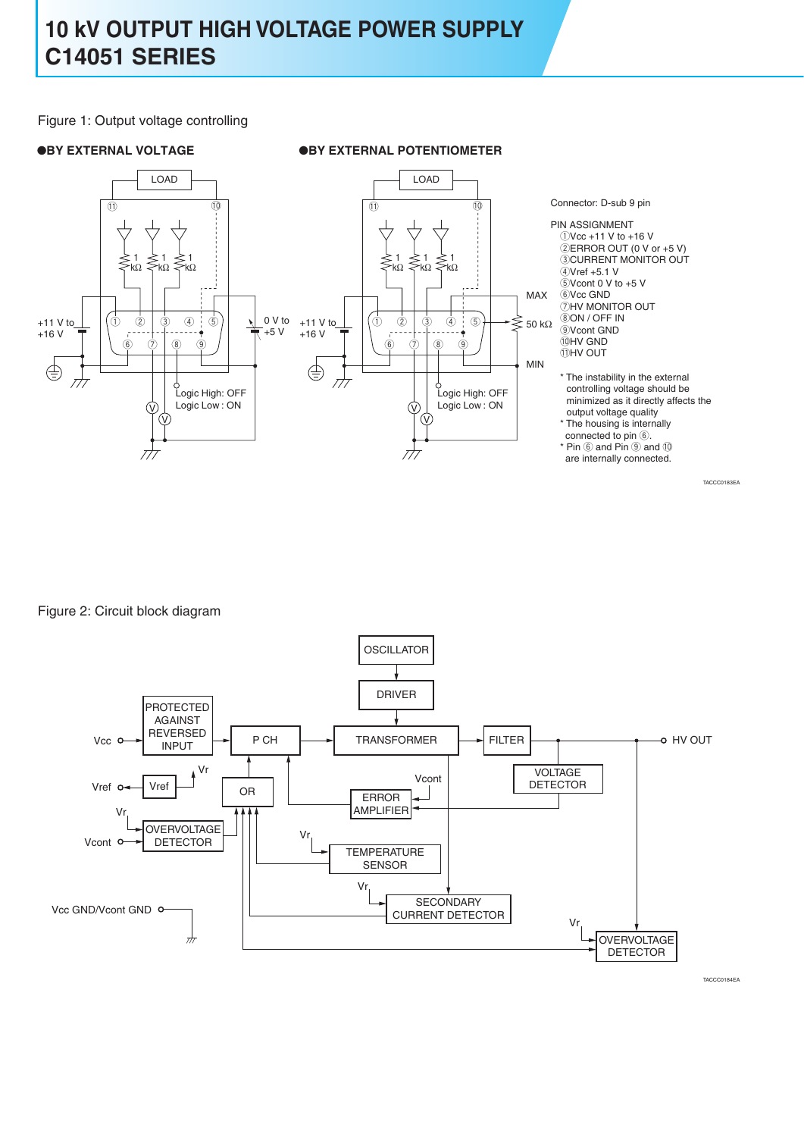Figure 1: Output voltage controlling





PIN ASSIGNMENT  $(1)$ Vcc +11 V to +16 V  $\ddot{2}$ ERROR OUT (0 V or +5 V) **ECURRENT MONITOR OUT**  $QVref +5.1 V$  $5$ V cont 0 V to  $+5$  V **6** Vcc GND  $\overline{Q}$ HV MONITOR OUT **8ON / OFF IN**  $\overline{Q}$ Vcont GND !0HV GND **IDHY OUT** 

\* The instability in the external controlling voltage should be minimized as it directly affects the output voltage quality

\* The housing is internally connected to pin  $<sup>6</sup>$ .</sup>

 $*$  Pin  $6$  and Pin  $9$  and  $10$ are internally connected.

TACCC0183EA

Figure 2: Circuit block diagram

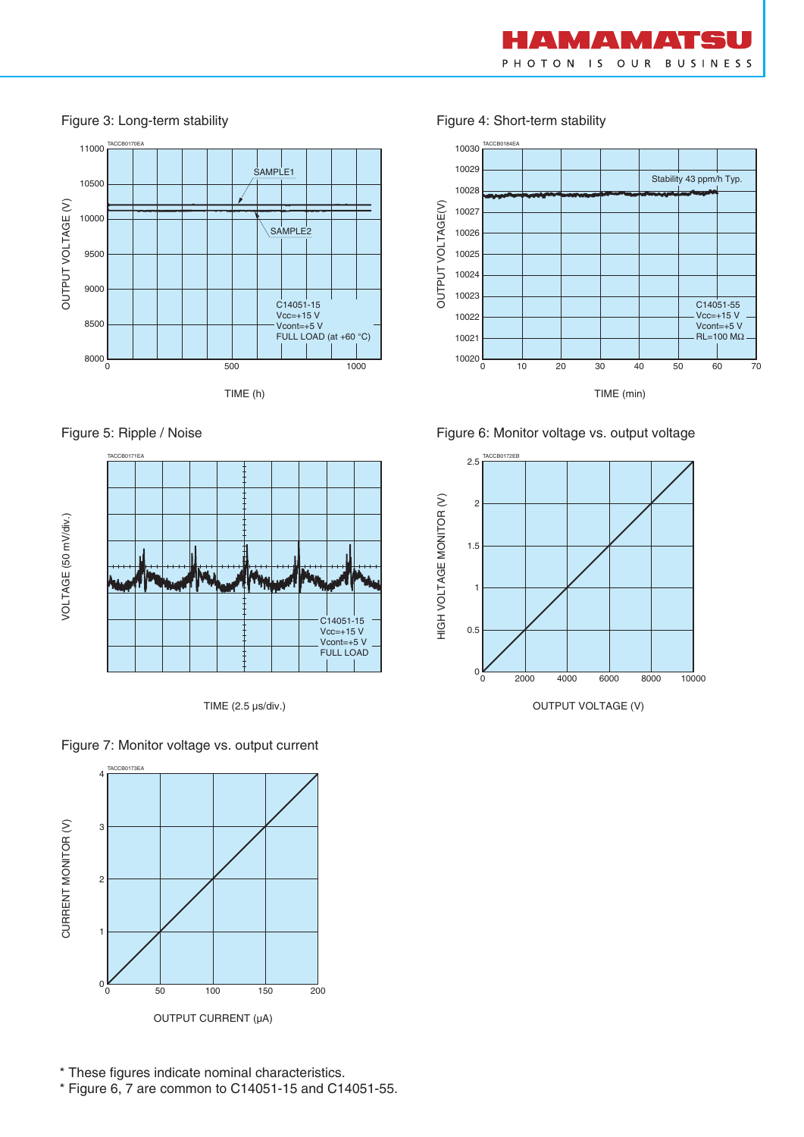

11000 TACCB0170EA TACCB0184EA SAMPLE1 10500 OUTPUT VOLTAGE (V) OUTPUT VOLTAGE (V) 10000 SAMPLE2 9500 9000  $C$ 14051-15 Vcc=+15 V 8500 Vcont=+5 V FULL LOAD (at +60 °C)  $8000\frac{1}{0}$ 1000 0 500 TIME (h)





TIME (2.5 µs/div.)



Figure 7: Monitor voltage vs. output current

Figure 3: Long-term stability Figure 4: Short-term stability







OUTPUT VOLTAGE (V)

\* These figures indicate nominal characteristics.

\* Figure 6, 7 are common to C14051-15 and C14051-55.